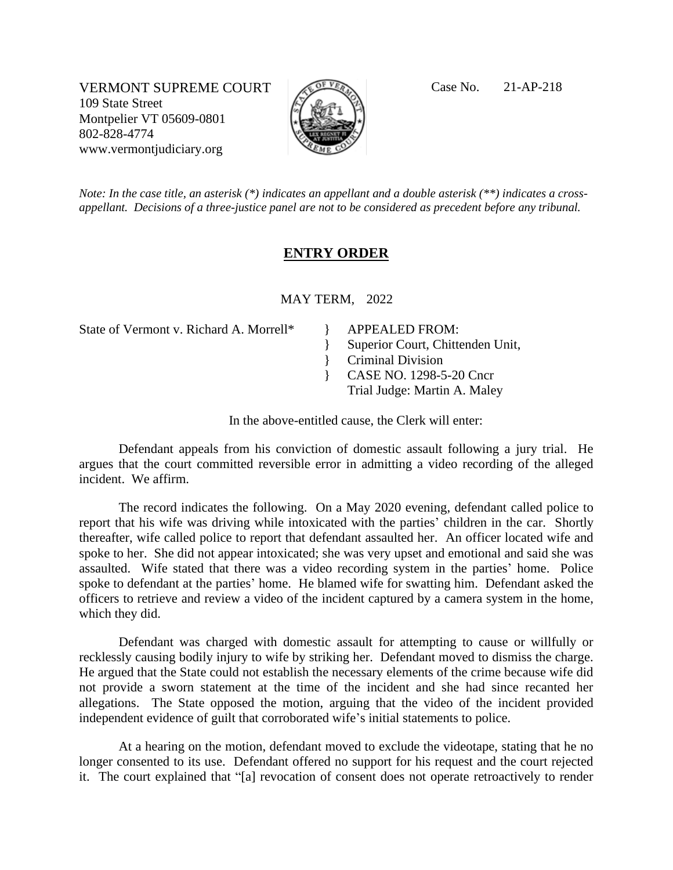VERMONT SUPREME COURT CEVER Case No. 21-AP-218 109 State Street Montpelier VT 05609-0801 802-828-4774 www.vermontjudiciary.org



*Note: In the case title, an asterisk (\*) indicates an appellant and a double asterisk (\*\*) indicates a crossappellant. Decisions of a three-justice panel are not to be considered as precedent before any tribunal.*

## **ENTRY ORDER**

MAY TERM, 2022

}

State of Vermont v. Richard A. Morrell\*  $\rightarrow$  APPEALED FROM: }

Superior Court, Chittenden Unit,

- Criminal Division
- } CASE NO. 1298-5-20 Cncr
	- Trial Judge: Martin A. Maley

In the above-entitled cause, the Clerk will enter:

Defendant appeals from his conviction of domestic assault following a jury trial. He argues that the court committed reversible error in admitting a video recording of the alleged incident. We affirm.

The record indicates the following. On a May 2020 evening, defendant called police to report that his wife was driving while intoxicated with the parties' children in the car. Shortly thereafter, wife called police to report that defendant assaulted her. An officer located wife and spoke to her. She did not appear intoxicated; she was very upset and emotional and said she was assaulted. Wife stated that there was a video recording system in the parties' home. Police spoke to defendant at the parties' home. He blamed wife for swatting him. Defendant asked the officers to retrieve and review a video of the incident captured by a camera system in the home, which they did.

Defendant was charged with domestic assault for attempting to cause or willfully or recklessly causing bodily injury to wife by striking her. Defendant moved to dismiss the charge. He argued that the State could not establish the necessary elements of the crime because wife did not provide a sworn statement at the time of the incident and she had since recanted her allegations. The State opposed the motion, arguing that the video of the incident provided independent evidence of guilt that corroborated wife's initial statements to police.

At a hearing on the motion, defendant moved to exclude the videotape, stating that he no longer consented to its use. Defendant offered no support for his request and the court rejected it. The court explained that "[a] revocation of consent does not operate retroactively to render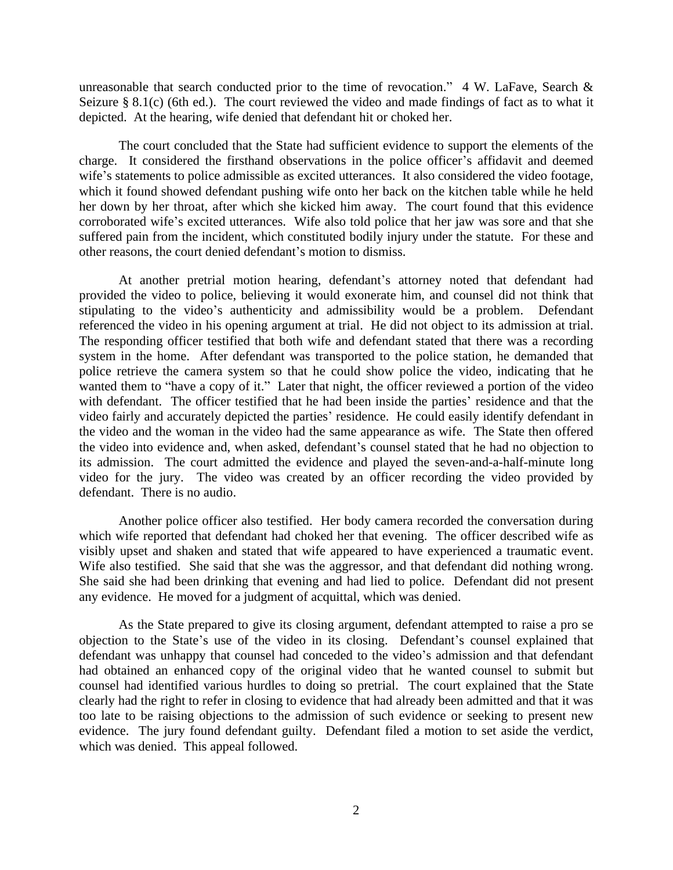unreasonable that search conducted prior to the time of revocation."  $4 W$ . LaFave, Search & Seizure § 8.1(c) (6th ed.). The court reviewed the video and made findings of fact as to what it depicted. At the hearing, wife denied that defendant hit or choked her.

The court concluded that the State had sufficient evidence to support the elements of the charge. It considered the firsthand observations in the police officer's affidavit and deemed wife's statements to police admissible as excited utterances. It also considered the video footage, which it found showed defendant pushing wife onto her back on the kitchen table while he held her down by her throat, after which she kicked him away. The court found that this evidence corroborated wife's excited utterances. Wife also told police that her jaw was sore and that she suffered pain from the incident, which constituted bodily injury under the statute. For these and other reasons, the court denied defendant's motion to dismiss.

At another pretrial motion hearing, defendant's attorney noted that defendant had provided the video to police, believing it would exonerate him, and counsel did not think that stipulating to the video's authenticity and admissibility would be a problem. Defendant referenced the video in his opening argument at trial. He did not object to its admission at trial. The responding officer testified that both wife and defendant stated that there was a recording system in the home. After defendant was transported to the police station, he demanded that police retrieve the camera system so that he could show police the video, indicating that he wanted them to "have a copy of it." Later that night, the officer reviewed a portion of the video with defendant. The officer testified that he had been inside the parties' residence and that the video fairly and accurately depicted the parties' residence. He could easily identify defendant in the video and the woman in the video had the same appearance as wife. The State then offered the video into evidence and, when asked, defendant's counsel stated that he had no objection to its admission. The court admitted the evidence and played the seven-and-a-half-minute long video for the jury. The video was created by an officer recording the video provided by defendant. There is no audio.

Another police officer also testified. Her body camera recorded the conversation during which wife reported that defendant had choked her that evening. The officer described wife as visibly upset and shaken and stated that wife appeared to have experienced a traumatic event. Wife also testified. She said that she was the aggressor, and that defendant did nothing wrong. She said she had been drinking that evening and had lied to police. Defendant did not present any evidence. He moved for a judgment of acquittal, which was denied.

As the State prepared to give its closing argument, defendant attempted to raise a pro se objection to the State's use of the video in its closing. Defendant's counsel explained that defendant was unhappy that counsel had conceded to the video's admission and that defendant had obtained an enhanced copy of the original video that he wanted counsel to submit but counsel had identified various hurdles to doing so pretrial. The court explained that the State clearly had the right to refer in closing to evidence that had already been admitted and that it was too late to be raising objections to the admission of such evidence or seeking to present new evidence. The jury found defendant guilty. Defendant filed a motion to set aside the verdict, which was denied. This appeal followed.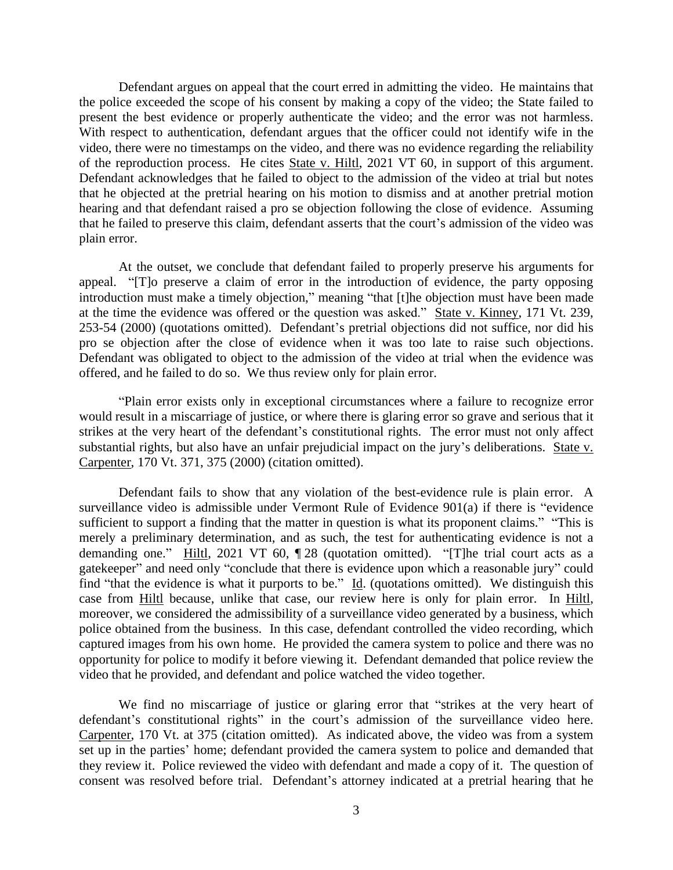Defendant argues on appeal that the court erred in admitting the video. He maintains that the police exceeded the scope of his consent by making a copy of the video; the State failed to present the best evidence or properly authenticate the video; and the error was not harmless. With respect to authentication, defendant argues that the officer could not identify wife in the video, there were no timestamps on the video, and there was no evidence regarding the reliability of the reproduction process. He cites State v. Hiltl, 2021 VT 60, in support of this argument. Defendant acknowledges that he failed to object to the admission of the video at trial but notes that he objected at the pretrial hearing on his motion to dismiss and at another pretrial motion hearing and that defendant raised a pro se objection following the close of evidence. Assuming that he failed to preserve this claim, defendant asserts that the court's admission of the video was plain error.

At the outset, we conclude that defendant failed to properly preserve his arguments for appeal. "[T]o preserve a claim of error in the introduction of evidence, the party opposing introduction must make a timely objection," meaning "that [t]he objection must have been made at the time the evidence was offered or the question was asked." State v. Kinney, 171 Vt. 239, 253-54 (2000) (quotations omitted). Defendant's pretrial objections did not suffice, nor did his pro se objection after the close of evidence when it was too late to raise such objections. Defendant was obligated to object to the admission of the video at trial when the evidence was offered, and he failed to do so. We thus review only for plain error.

"Plain error exists only in exceptional circumstances where a failure to recognize error would result in a miscarriage of justice, or where there is glaring error so grave and serious that it strikes at the very heart of the defendant's constitutional rights. The error must not only affect substantial rights, but also have an unfair prejudicial impact on the jury's deliberations. State v. Carpenter, 170 Vt. 371, 375 (2000) (citation omitted).

Defendant fails to show that any violation of the best-evidence rule is plain error. A surveillance video is admissible under Vermont Rule of Evidence 901(a) if there is "evidence sufficient to support a finding that the matter in question is what its proponent claims." "This is merely a preliminary determination, and as such, the test for authenticating evidence is not a demanding one." Hiltl, 2021 VT 60, ¶ 28 (quotation omitted). "[T]he trial court acts as a gatekeeper" and need only "conclude that there is evidence upon which a reasonable jury" could find "that the evidence is what it purports to be."  $\underline{Id}$ . (quotations omitted). We distinguish this case from Hiltl because, unlike that case, our review here is only for plain error. In Hiltl, moreover, we considered the admissibility of a surveillance video generated by a business, which police obtained from the business. In this case, defendant controlled the video recording, which captured images from his own home. He provided the camera system to police and there was no opportunity for police to modify it before viewing it. Defendant demanded that police review the video that he provided, and defendant and police watched the video together.

We find no miscarriage of justice or glaring error that "strikes at the very heart of defendant's constitutional rights" in the court's admission of the surveillance video here. Carpenter, 170 Vt. at 375 (citation omitted). As indicated above, the video was from a system set up in the parties' home; defendant provided the camera system to police and demanded that they review it. Police reviewed the video with defendant and made a copy of it. The question of consent was resolved before trial. Defendant's attorney indicated at a pretrial hearing that he